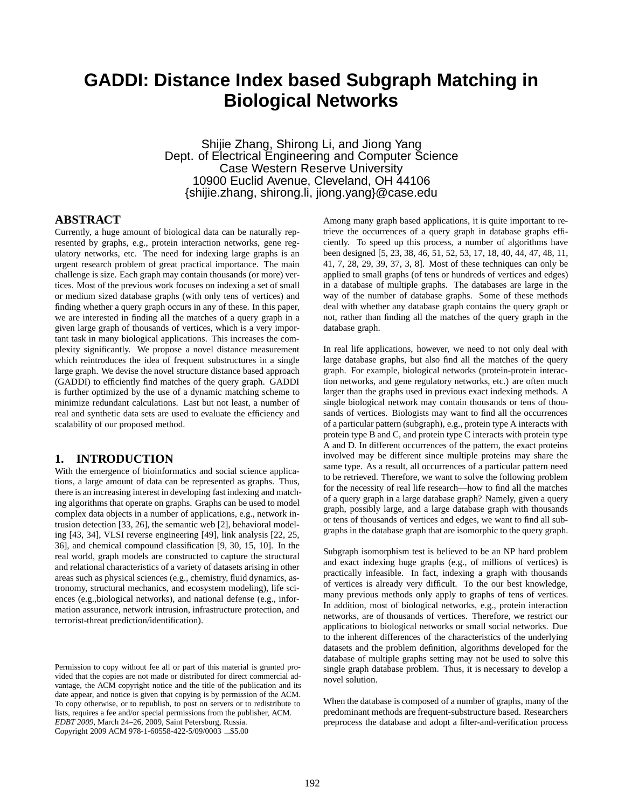# **GADDI: Distance Index based Subgraph Matching in Biological Networks**

Shijie Zhang, Shirong Li, and Jiong Yang Dept. of Electrical Engineering and Computer Science Case Western Reserve University 10900 Euclid Avenue, Cleveland, OH 44106 {shijie.zhang, shirong.li, jiong.yang}@case.edu

## **ABSTRACT**

Currently, a huge amount of biological data can be naturally represented by graphs, e.g., protein interaction networks, gene regulatory networks, etc. The need for indexing large graphs is an urgent research problem of great practical importance. The main challenge is size. Each graph may contain thousands (or more) vertices. Most of the previous work focuses on indexing a set of small or medium sized database graphs (with only tens of vertices) and finding whether a query graph occurs in any of these. In this paper, we are interested in finding all the matches of a query graph in a given large graph of thousands of vertices, which is a very important task in many biological applications. This increases the complexity significantly. We propose a novel distance measurement which reintroduces the idea of frequent substructures in a single large graph. We devise the novel structure distance based approach (GADDI) to efficiently find matches of the query graph. GADDI is further optimized by the use of a dynamic matching scheme to minimize redundant calculations. Last but not least, a number of real and synthetic data sets are used to evaluate the efficiency and scalability of our proposed method.

# **1. INTRODUCTION**

With the emergence of bioinformatics and social science applications, a large amount of data can be represented as graphs. Thus, there is an increasing interest in developing fast indexing and matching algorithms that operate on graphs. Graphs can be used to model complex data objects in a number of applications, e.g., network intrusion detection [33, 26], the semantic web [2], behavioral modeling [43, 34], VLSI reverse engineering [49], link analysis [22, 25, 36], and chemical compound classification [9, 30, 15, 10]. In the real world, graph models are constructed to capture the structural and relational characteristics of a variety of datasets arising in other areas such as physical sciences (e.g., chemistry, fluid dynamics, astronomy, structural mechanics, and ecosystem modeling), life sciences (e.g.,biological networks), and national defense (e.g., information assurance, network intrusion, infrastructure protection, and terrorist-threat prediction/identification).

Permission to copy without fee all or part of this material is granted provided that the copies are not made or distributed for direct commercial advantage, the ACM copyright notice and the title of the publication and its date appear, and notice is given that copying is by permission of the ACM. To copy otherwise, or to republish, to post on servers or to redistribute to lists, requires a fee and/or special permissions from the publisher, ACM. *EDBT 2009*, March 24–26, 2009, Saint Petersburg, Russia. Copyright 2009 ACM 978-1-60558-422-5/09/0003 ...\$5.00

Among many graph based applications, it is quite important to retrieve the occurrences of a query graph in database graphs efficiently. To speed up this process, a number of algorithms have been designed [5, 23, 38, 46, 51, 52, 53, 17, 18, 40, 44, 47, 48, 11, 41, 7, 28, 29, 39, 37, 3, 8]. Most of these techniques can only be applied to small graphs (of tens or hundreds of vertices and edges) in a database of multiple graphs. The databases are large in the way of the number of database graphs. Some of these methods deal with whether any database graph contains the query graph or not, rather than finding all the matches of the query graph in the database graph.

In real life applications, however, we need to not only deal with large database graphs, but also find all the matches of the query graph. For example, biological networks (protein-protein interaction networks, and gene regulatory networks, etc.) are often much larger than the graphs used in previous exact indexing methods. A single biological network may contain thousands or tens of thousands of vertices. Biologists may want to find all the occurrences of a particular pattern (subgraph), e.g., protein type A interacts with protein type B and C, and protein type C interacts with protein type A and D. In different occurrences of the pattern, the exact proteins involved may be different since multiple proteins may share the same type. As a result, all occurrences of a particular pattern need to be retrieved. Therefore, we want to solve the following problem for the necessity of real life research—how to find all the matches of a query graph in a large database graph? Namely, given a query graph, possibly large, and a large database graph with thousands or tens of thousands of vertices and edges, we want to find all subgraphs in the database graph that are isomorphic to the query graph.

Subgraph isomorphism test is believed to be an NP hard problem and exact indexing huge graphs (e.g., of millions of vertices) is practically infeasible. In fact, indexing a graph with thousands of vertices is already very difficult. To the our best knowledge, many previous methods only apply to graphs of tens of vertices. In addition, most of biological networks, e.g., protein interaction networks, are of thousands of vertices. Therefore, we restrict our applications to biological networks or small social networks. Due to the inherent differences of the characteristics of the underlying datasets and the problem definition, algorithms developed for the database of multiple graphs setting may not be used to solve this single graph database problem. Thus, it is necessary to develop a novel solution.

When the database is composed of a number of graphs, many of the predominant methods are frequent-substructure based. Researchers preprocess the database and adopt a filter-and-verification process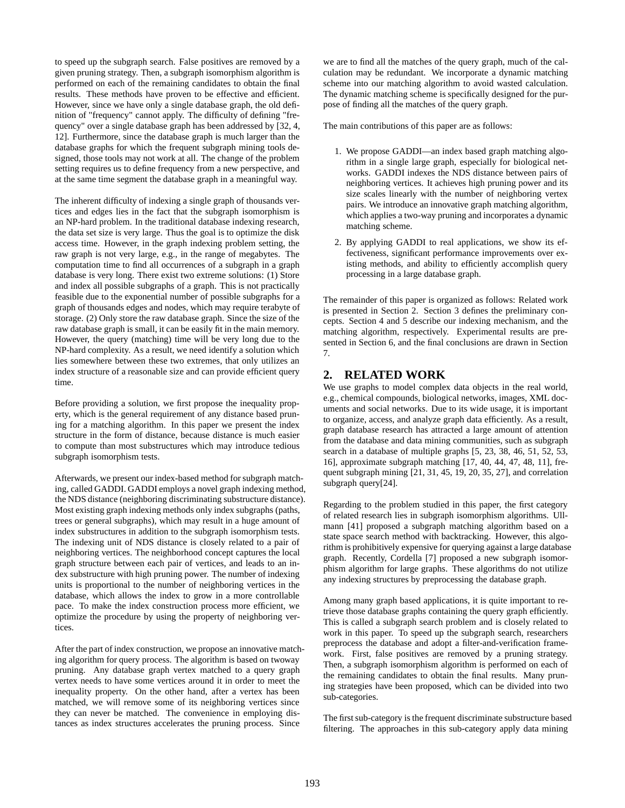to speed up the subgraph search. False positives are removed by a given pruning strategy. Then, a subgraph isomorphism algorithm is performed on each of the remaining candidates to obtain the final results. These methods have proven to be effective and efficient. However, since we have only a single database graph, the old definition of "frequency" cannot apply. The difficulty of defining "frequency" over a single database graph has been addressed by [32, 4, 12]. Furthermore, since the database graph is much larger than the database graphs for which the frequent subgraph mining tools designed, those tools may not work at all. The change of the problem setting requires us to define frequency from a new perspective, and at the same time segment the database graph in a meaningful way.

The inherent difficulty of indexing a single graph of thousands vertices and edges lies in the fact that the subgraph isomorphism is an NP-hard problem. In the traditional database indexing research, the data set size is very large. Thus the goal is to optimize the disk access time. However, in the graph indexing problem setting, the raw graph is not very large, e.g., in the range of megabytes. The computation time to find all occurrences of a subgraph in a graph database is very long. There exist two extreme solutions: (1) Store and index all possible subgraphs of a graph. This is not practically feasible due to the exponential number of possible subgraphs for a graph of thousands edges and nodes, which may require terabyte of storage. (2) Only store the raw database graph. Since the size of the raw database graph is small, it can be easily fit in the main memory. However, the query (matching) time will be very long due to the NP-hard complexity. As a result, we need identify a solution which lies somewhere between these two extremes, that only utilizes an index structure of a reasonable size and can provide efficient query time.

Before providing a solution, we first propose the inequality property, which is the general requirement of any distance based pruning for a matching algorithm. In this paper we present the index structure in the form of distance, because distance is much easier to compute than most substructures which may introduce tedious subgraph isomorphism tests.

Afterwards, we present our index-based method for subgraph matching, called GADDI. GADDI employs a novel graph indexing method, the NDS distance (neighboring discriminating substructure distance). Most existing graph indexing methods only index subgraphs (paths, trees or general subgraphs), which may result in a huge amount of index substructures in addition to the subgraph isomorphism tests. The indexing unit of NDS distance is closely related to a pair of neighboring vertices. The neighborhood concept captures the local graph structure between each pair of vertices, and leads to an index substructure with high pruning power. The number of indexing units is proportional to the number of neighboring vertices in the database, which allows the index to grow in a more controllable pace. To make the index construction process more efficient, we optimize the procedure by using the property of neighboring vertices.

After the part of index construction, we propose an innovative matching algorithm for query process. The algorithm is based on twoway pruning. Any database graph vertex matched to a query graph vertex needs to have some vertices around it in order to meet the inequality property. On the other hand, after a vertex has been matched, we will remove some of its neighboring vertices since they can never be matched. The convenience in employing distances as index structures accelerates the pruning process. Since

we are to find all the matches of the query graph, much of the calculation may be redundant. We incorporate a dynamic matching scheme into our matching algorithm to avoid wasted calculation. The dynamic matching scheme is specifically designed for the purpose of finding all the matches of the query graph.

The main contributions of this paper are as follows:

- 1. We propose GADDI—an index based graph matching algorithm in a single large graph, especially for biological networks. GADDI indexes the NDS distance between pairs of neighboring vertices. It achieves high pruning power and its size scales linearly with the number of neighboring vertex pairs. We introduce an innovative graph matching algorithm, which applies a two-way pruning and incorporates a dynamic matching scheme.
- 2. By applying GADDI to real applications, we show its effectiveness, significant performance improvements over existing methods, and ability to efficiently accomplish query processing in a large database graph.

The remainder of this paper is organized as follows: Related work is presented in Section 2. Section 3 defines the preliminary concepts. Section 4 and 5 describe our indexing mechanism, and the matching algorithm, respectively. Experimental results are presented in Section 6, and the final conclusions are drawn in Section 7.

# **2. RELATED WORK**

We use graphs to model complex data objects in the real world, e.g., chemical compounds, biological networks, images, XML documents and social networks. Due to its wide usage, it is important to organize, access, and analyze graph data efficiently. As a result, graph database research has attracted a large amount of attention from the database and data mining communities, such as subgraph search in a database of multiple graphs [5, 23, 38, 46, 51, 52, 53, 16], approximate subgraph matching [17, 40, 44, 47, 48, 11], frequent subgraph mining [21, 31, 45, 19, 20, 35, 27], and correlation subgraph query[24].

Regarding to the problem studied in this paper, the first category of related research lies in subgraph isomorphism algorithms. Ullmann [41] proposed a subgraph matching algorithm based on a state space search method with backtracking. However, this algorithm is prohibitively expensive for querying against a large database graph. Recently, Cordella [7] proposed a new subgraph isomorphism algorithm for large graphs. These algorithms do not utilize any indexing structures by preprocessing the database graph.

Among many graph based applications, it is quite important to retrieve those database graphs containing the query graph efficiently. This is called a subgraph search problem and is closely related to work in this paper. To speed up the subgraph search, researchers preprocess the database and adopt a filter-and-verification framework. First, false positives are removed by a pruning strategy. Then, a subgraph isomorphism algorithm is performed on each of the remaining candidates to obtain the final results. Many pruning strategies have been proposed, which can be divided into two sub-categories.

The first sub-category is the frequent discriminate substructure based filtering. The approaches in this sub-category apply data mining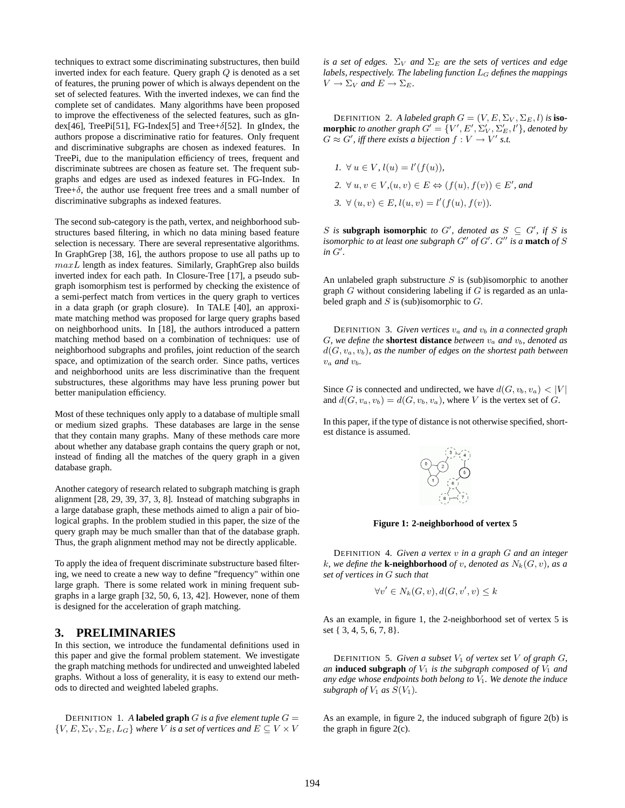techniques to extract some discriminating substructures, then build inverted index for each feature. Query graph Q is denoted as a set of features, the pruning power of which is always dependent on the set of selected features. With the inverted indexes, we can find the complete set of candidates. Many algorithms have been proposed to improve the effectiveness of the selected features, such as gIn $dex[46]$ , TreePi[51], FG-Index[5] and Tree+ $\delta$ [52]. In gIndex, the authors propose a discriminative ratio for features. Only frequent and discriminative subgraphs are chosen as indexed features. In TreePi, due to the manipulation efficiency of trees, frequent and discriminate subtrees are chosen as feature set. The frequent subgraphs and edges are used as indexed features in FG-Index. In Tree+ $\delta$ , the author use frequent free trees and a small number of discriminative subgraphs as indexed features.

The second sub-category is the path, vertex, and neighborhood substructures based filtering, in which no data mining based feature selection is necessary. There are several representative algorithms. In GraphGrep [38, 16], the authors propose to use all paths up to  $maxL$  length as index features. Similarly, GraphGrep also builds inverted index for each path. In Closure-Tree [17], a pseudo subgraph isomorphism test is performed by checking the existence of a semi-perfect match from vertices in the query graph to vertices in a data graph (or graph closure). In TALE [40], an approximate matching method was proposed for large query graphs based on neighborhood units. In [18], the authors introduced a pattern matching method based on a combination of techniques: use of neighborhood subgraphs and profiles, joint reduction of the search space, and optimization of the search order. Since paths, vertices and neighborhood units are less discriminative than the frequent substructures, these algorithms may have less pruning power but better manipulation efficiency.

Most of these techniques only apply to a database of multiple small or medium sized graphs. These databases are large in the sense that they contain many graphs. Many of these methods care more about whether any database graph contains the query graph or not, instead of finding all the matches of the query graph in a given database graph.

Another category of research related to subgraph matching is graph alignment [28, 29, 39, 37, 3, 8]. Instead of matching subgraphs in a large database graph, these methods aimed to align a pair of biological graphs. In the problem studied in this paper, the size of the query graph may be much smaller than that of the database graph. Thus, the graph alignment method may not be directly applicable.

To apply the idea of frequent discriminate substructure based filtering, we need to create a new way to define "frequency" within one large graph. There is some related work in mining frequent subgraphs in a large graph [32, 50, 6, 13, 42]. However, none of them is designed for the acceleration of graph matching.

# **3. PRELIMINARIES**

In this section, we introduce the fundamental definitions used in this paper and give the formal problem statement. We investigate the graph matching methods for undirected and unweighted labeled graphs. Without a loss of generality, it is easy to extend our methods to directed and weighted labeled graphs.

DEFINITION 1. A **labeled graph** G is a five element tuple  $G =$  ${V, E, \Sigma_V, \Sigma_E, L_G}$  *where V is a set of vertices and*  $E \subseteq V \times V$  *is a set of edges.*  $\Sigma_V$  *and*  $\Sigma_E$  *are the sets of vertices and edge labels, respectively. The labeling function* <sup>L</sup>*G defines the mappings*  $V \to \Sigma_V$  *and*  $E \to \Sigma_E$ .

DEFINITION 2. *A labeled graph*  $G = (V, E, \Sigma_V, \Sigma_E, l)$  *is* **isomorphic** *to another graph*  $G' = \{V', E', \Sigma'_V, \Sigma'_E, l'\}$ , denoted by  $G \approx G'$  iff there exists a bijection  $f : V \to V'$  at  $G \approx G'$ , iff there exists a bijection  $f: V \to V'$  s.t.

\n- $$
l \ \forall u \in V, l(u) = l'(f(u)),
$$
\n- $\forall u, v \in V, (u, v) \in E \Leftrightarrow (f(u), f(v)) \in E',$  and
\n- $\forall (u, v) \in E, l(u, v) = l'(f(u), f(v)).$
\n

S is **subgraph isomorphic** to G', denoted as  $S \subseteq G'$ , if S is isomorphic to at least one subgraph  $G''$  of  $G'$ .  $G''$  is a **match** of  $S$  $in G'.$ 

An unlabeled graph substructure  $S$  is (sub)isomorphic to another graph  $G$  without considering labeling if  $G$  is regarded as an unlabeled graph and  $S$  is (sub)isomorphic to  $G$ .

DEFINITION 3. *Given vertices* <sup>v</sup>*<sup>a</sup> and* <sup>v</sup>*b in a connected graph* <sup>G</sup>*, we define the* **shortest distance** *between* <sup>v</sup>*a and* <sup>v</sup>*b, denoted as* <sup>d</sup>(G, v*a*, v*b*)*, as the number of edges on the shortest path between*  $v_a$  *and*  $v_b$ *.* 

Since G is connected and undirected, we have  $d(G, v_b, v_a) < |V|$ and  $d(G, v_a, v_b) = d(G, v_b, v_a)$ , where V is the vertex set of G.

In this paper, if the type of distance is not otherwise specified, shortest distance is assumed.



**Figure 1: 2-neighborhood of vertex 5**

DEFINITION 4. *Given a vertex* v *in a graph* G *and an integer k*, we define the **k-neighborhood** of v, denoted as  $N_k(G, v)$ , as a *set of vertices in* G *such that*

$$
\forall v' \in N_k(G, v), d(G, v', v) \leq k
$$

As an example, in figure 1, the 2-neighborhood set of vertex 5 is set { 3, 4, 5, 6, 7, 8}.

DEFINITION 5. Given a subset  $V_1$  of vertex set V of graph G, an **induced subgraph** of  $V_1$  is the subgraph composed of  $V_1$  and *any edge whose endpoints both belong to* V1*. We denote the induce subgraph of*  $V_1$  *as*  $S(V_1)$ *.* 

As an example, in figure 2, the induced subgraph of figure 2(b) is the graph in figure 2(c).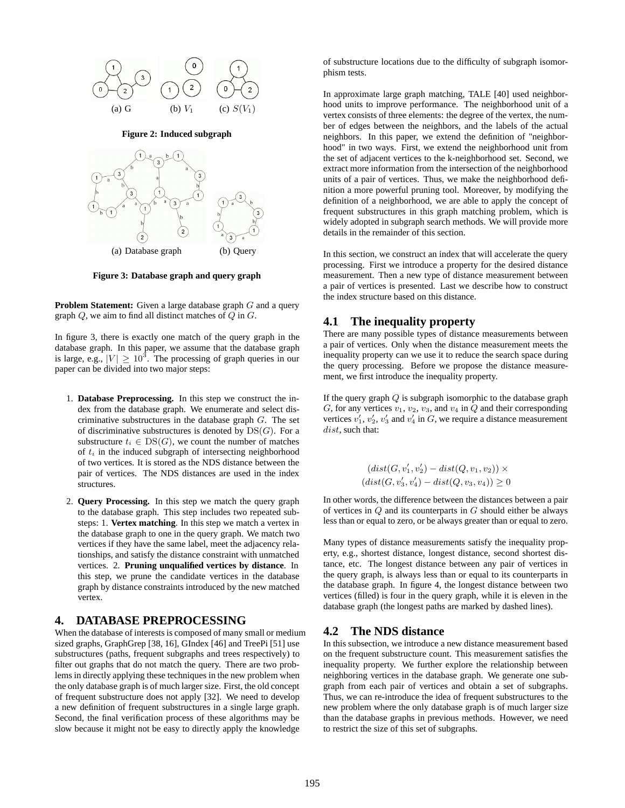

**Figure 3: Database graph and query graph**

**Problem Statement:** Given a large database graph G and a query graph  $Q$ , we aim to find all distinct matches of  $Q$  in  $G$ .

In figure 3, there is exactly one match of the query graph in the database graph. In this paper, we assume that the database graph is large, e.g.,  $|V| \ge 10^3$ . The processing of graph queries in our paper can be divided into two major steps:

- 1. **Database Preprocessing.** In this step we construct the index from the database graph. We enumerate and select discriminative substructures in the database graph G. The set of discriminative substructures is denoted by  $DS(G)$ . For a substructure  $t_i \in \text{DS}(G)$ , we count the number of matches of <sup>t</sup>*i* in the induced subgraph of intersecting neighborhood of two vertices. It is stored as the NDS distance between the pair of vertices. The NDS distances are used in the index structures.
- 2. **Query Processing.** In this step we match the query graph to the database graph. This step includes two repeated substeps: 1. **Vertex matching**. In this step we match a vertex in the database graph to one in the query graph. We match two vertices if they have the same label, meet the adjacency relationships, and satisfy the distance constraint with unmatched vertices. 2. **Pruning unqualified vertices by distance**. In this step, we prune the candidate vertices in the database graph by distance constraints introduced by the new matched vertex.

# **4. DATABASE PREPROCESSING**

When the database of interests is composed of many small or medium sized graphs, GraphGrep [38, 16], GIndex [46] and TreePi [51] use substructures (paths, frequent subgraphs and trees respectively) to filter out graphs that do not match the query. There are two problems in directly applying these techniques in the new problem when the only database graph is of much larger size. First, the old concept of frequent substructure does not apply [32]. We need to develop a new definition of frequent substructures in a single large graph. Second, the final verification process of these algorithms may be slow because it might not be easy to directly apply the knowledge

of substructure locations due to the difficulty of subgraph isomorphism tests.

In approximate large graph matching, TALE [40] used neighborhood units to improve performance. The neighborhood unit of a vertex consists of three elements: the degree of the vertex, the number of edges between the neighbors, and the labels of the actual neighbors. In this paper, we extend the definition of "neighborhood" in two ways. First, we extend the neighborhood unit from the set of adjacent vertices to the k-neighborhood set. Second, we extract more information from the intersection of the neighborhood units of a pair of vertices. Thus, we make the neighborhood definition a more powerful pruning tool. Moreover, by modifying the definition of a neighborhood, we are able to apply the concept of frequent substructures in this graph matching problem, which is widely adopted in subgraph search methods. We will provide more details in the remainder of this section.

In this section, we construct an index that will accelerate the query processing. First we introduce a property for the desired distance measurement. Then a new type of distance measurement between a pair of vertices is presented. Last we describe how to construct the index structure based on this distance.

# **4.1 The inequality property**

There are many possible types of distance measurements between a pair of vertices. Only when the distance measurement meets the inequality property can we use it to reduce the search space during the query processing. Before we propose the distance measurement, we first introduce the inequality property.

If the query graph  $Q$  is subgraph isomorphic to the database graph G, for any vertices  $v_1$ ,  $v_2$ ,  $v_3$ , and  $v_4$  in Q and their corresponding vertices  $v'_1, v'_2, v'_3$  and  $v'_4$  in G, we require a distance measurement dist, such that:

$$
(dist(G, v'_1, v'_2) - dist(Q, v_1, v_2)) \times (dist(G, v'_3, v'_4) - dist(Q, v_3, v_4)) \ge 0
$$

In other words, the difference between the distances between a pair of vertices in  $Q$  and its counterparts in  $G$  should either be always less than or equal to zero, or be always greater than or equal to zero.

Many types of distance measurements satisfy the inequality property, e.g., shortest distance, longest distance, second shortest distance, etc. The longest distance between any pair of vertices in the query graph, is always less than or equal to its counterparts in the database graph. In figure 4, the longest distance between two vertices (filled) is four in the query graph, while it is eleven in the database graph (the longest paths are marked by dashed lines).

# **4.2 The NDS distance**

In this subsection, we introduce a new distance measurement based on the frequent substructure count. This measurement satisfies the inequality property. We further explore the relationship between neighboring vertices in the database graph. We generate one subgraph from each pair of vertices and obtain a set of subgraphs. Thus, we can re-introduce the idea of frequent substructures to the new problem where the only database graph is of much larger size than the database graphs in previous methods. However, we need to restrict the size of this set of subgraphs.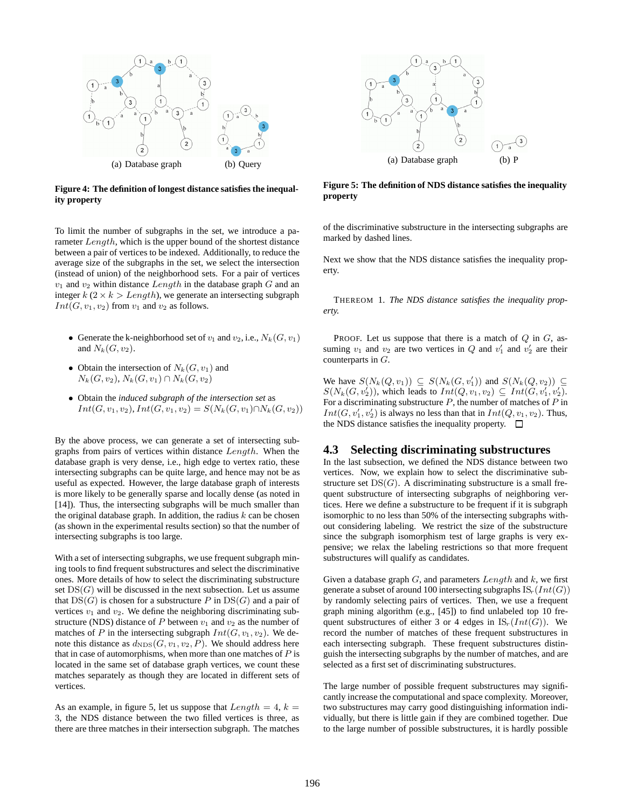

**Figure 4: The definition of longest distance satisfies the inequality property**

To limit the number of subgraphs in the set, we introduce a parameter Length, which is the upper bound of the shortest distance between a pair of vertices to be indexed. Additionally, to reduce the average size of the subgraphs in the set, we select the intersection (instead of union) of the neighborhood sets. For a pair of vertices  $v_1$  and  $v_2$  within distance  $Length$  in the database graph  $G$  and an integer  $k$  (2  $\times$  k  $>$  Length), we generate an intersecting subgraph  $Int(G, v_1, v_2)$  from  $v_1$  and  $v_2$  as follows.

- Generate the k-neighborhood set of  $v_1$  and  $v_2$ , i.e.,  $N_k(G, v_1)$ and  $N_k(G, v_2)$ .
- Obtain the intersection of  $N_k(G, v_1)$  and  $N_k(G, v_2)$ ,  $N_k(G, v_1)$  ∩  $N_k(G, v_2)$
- Obtain the *induced subgraph of the intersection set* as  $Int(G, v_1, v_2), Int(G, v_1, v_2) = S(N_k(G, v_1) \cap N_k(G, v_2))$

By the above process, we can generate a set of intersecting subgraphs from pairs of vertices within distance Length. When the database graph is very dense, i.e., high edge to vertex ratio, these intersecting subgraphs can be quite large, and hence may not be as useful as expected. However, the large database graph of interests is more likely to be generally sparse and locally dense (as noted in [14]). Thus, the intersecting subgraphs will be much smaller than the original database graph. In addition, the radius  $k$  can be chosen (as shown in the experimental results section) so that the number of intersecting subgraphs is too large.

With a set of intersecting subgraphs, we use frequent subgraph mining tools to find frequent substructures and select the discriminative ones. More details of how to select the discriminating substructure set  $DS(G)$  will be discussed in the next subsection. Let us assume that  $DS(G)$  is chosen for a substructure P in  $DS(G)$  and a pair of vertices  $v_1$  and  $v_2$ . We define the neighboring discriminating substructure (NDS) distance of P between  $v_1$  and  $v_2$  as the number of matches of P in the intersecting subgraph  $Int(G, v_1, v_2)$ . We denote this distance as  $d_{NDS}(G, v_1, v_2, P)$ . We should address here that in case of automorphisms, when more than one matches of  $P$  is located in the same set of database graph vertices, we count these matches separately as though they are located in different sets of vertices.

As an example, in figure 5, let us suppose that  $Length = 4$ ,  $k =$ 3, the NDS distance between the two filled vertices is three, as there are three matches in their intersection subgraph. The matches



**Figure 5: The definition of NDS distance satisfies the inequality property**

of the discriminative substructure in the intersecting subgraphs are marked by dashed lines.

Next we show that the NDS distance satisfies the inequality property.

THEREOM 1. *The NDS distance satisfies the inequality property.*

PROOF. Let us suppose that there is a match of  $Q$  in  $G$ , assuming  $v_1$  and  $v_2$  are two vertices in Q and  $v_1'$  and  $v_2'$  are their counterparts in G.

We have  $S(N_k(Q, v_1)) \subseteq S(N_k(G, v'_1))$  and  $S(N_k(Q, v_2)) \subseteq$ <br> $S(N_k(G, v'_1))$  which look to  $I_{\mathcal{P}}(Q, v_1, v_2) \subseteq I_{\mathcal{P}}(G, v'_1, v'_2)$  $S(N_k(G, v'_2))$ , which leads to  $Int(Q, v_1, v_2) \subseteq Int(G, v'_1, v'_2)$ .<br>Final discription of the problem of the number of problem of D in For a discriminating substructure  $P$ , the number of matches of  $P$  in  $Int(G, v_1', v_2')$  is always no less than that in  $Int(Q, v_1, v_2)$ . Thus, the NDS distance satisfies the inequality property.  $\Box$ 

## **4.3 Selecting discriminating substructures**

In the last subsection, we defined the NDS distance between two vertices. Now, we explain how to select the discriminative substructure set  $DS(G)$ . A discriminating substructure is a small frequent substructure of intersecting subgraphs of neighboring vertices. Here we define a substructure to be frequent if it is subgraph isomorphic to no less than 50% of the intersecting subgraphs without considering labeling. We restrict the size of the substructure since the subgraph isomorphism test of large graphs is very expensive; we relax the labeling restrictions so that more frequent substructures will qualify as candidates.

Given a database graph  $G$ , and parameters  $Length$  and k, we first generate a subset of around 100 intersecting subgraphs  $IS_r(Int(G))$ by randomly selecting pairs of vertices. Then, we use a frequent graph mining algorithm (e.g., [45]) to find unlabeled top 10 frequent substructures of either 3 or 4 edges in  $IS_r(Int(G))$ . We record the number of matches of these frequent substructures in each intersecting subgraph. These frequent substructures distinguish the intersecting subgraphs by the number of matches, and are selected as a first set of discriminating substructures.

The large number of possible frequent substructures may significantly increase the computational and space complexity. Moreover, two substructures may carry good distinguishing information individually, but there is little gain if they are combined together. Due to the large number of possible substructures, it is hardly possible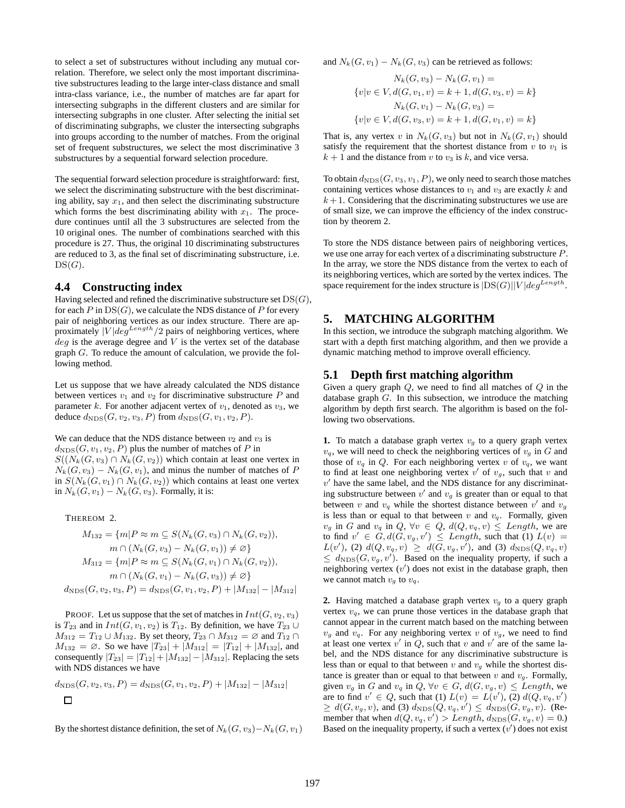to select a set of substructures without including any mutual correlation. Therefore, we select only the most important discriminative substructures leading to the large inter-class distance and small intra-class variance, i.e., the number of matches are far apart for intersecting subgraphs in the different clusters and are similar for intersecting subgraphs in one cluster. After selecting the initial set of discriminating subgraphs, we cluster the intersecting subgraphs into groups according to the number of matches. From the original set of frequent substructures, we select the most discriminative 3 substructures by a sequential forward selection procedure.

The sequential forward selection procedure is straightforward: first, we select the discriminating substructure with the best discriminating ability, say  $x_1$ , and then select the discriminating substructure which forms the best discriminating ability with  $x_1$ . The procedure continues until all the 3 substructures are selected from the 10 original ones. The number of combinations searched with this procedure is 27. Thus, the original 10 discriminating substructures are reduced to 3, as the final set of discriminating substructure, i.e.  $DS(G).$ 

#### **4.4 Constructing index**

Having selected and refined the discriminative substructure set  $DS(G)$ , for each  $P$  in  $DS(G)$ , we calculate the NDS distance of  $P$  for every pair of neighboring vertices as our index structure. There are approximately  $|V| \frac{de^{flength}}{2}$  pairs of neighboring vertices, where  $deg$  is the average degree and  $V$  is the vertex set of the database graph  $G$ . To reduce the amount of calculation, we provide the following method.

Let us suppose that we have already calculated the NDS distance between vertices  $v_1$  and  $v_2$  for discriminative substructure  $P$  and parameter k. For another adjacent vertex of  $v_1$ , denoted as  $v_3$ , we deduce  $d_{NDS}(G, v_2, v_3, P)$  from  $d_{NDS}(G, v_1, v_2, P)$ .

We can deduce that the NDS distance between  $v_2$  and  $v_3$  is  $d_{NDS}(G, v_1, v_2, P)$  plus the number of matches of P in  $S((N_k(G, v_3) \cap N_k(G, v_2))$  which contain at least one vertex in  $N_k(G, v_3) - N_k(G, v_1)$ , and minus the number of matches of P in  $S(N_k(G, v_1) \cap N_k(G, v_2))$  which contains at least one vertex in  $N_k(G, v_1) - N_k(G, v_3)$ . Formally, it is:

#### THEREOM 2.

$$
M_{132} = \{ m | P \approx m \subseteq S(N_k(G, v_3) \cap N_k(G, v_2)),
$$
  
\n
$$
m \cap (N_k(G, v_3) - N_k(G, v_1)) \neq \emptyset \}
$$
  
\n
$$
M_{312} = \{ m | P \approx m \subseteq S(N_k(G, v_1) \cap N_k(G, v_2)),
$$
  
\n
$$
m \cap (N_k(G, v_1) - N_k(G, v_3)) \neq \emptyset \}
$$
  
\n
$$
d_{NDS}(G, v_2, v_3, P) = d_{NDS}(G, v_1, v_2, P) + |M_{132}| - |M_{312}|
$$

PROOF. Let us suppose that the set of matches in  $Int(G, v_2, v_3)$ is  $T_{23}$  and in  $Int(G, v_1, v_2)$  is  $T_{12}$ . By definition, we have  $T_{23} \cup$  $M_{312} = T_{12} \cup M_{132}$ . By set theory,  $T_{23} \cap M_{312} = \emptyset$  and  $T_{12} \cap$  $M_{132} = \emptyset$ . So we have  $|T_{23}| + |M_{312}| = |T_{12}| + |M_{132}|$ , and consequently  $|T_{23}| = |T_{12}| + |M_{132}| - |M_{312}|$ . Replacing the sets with NDS distances we have

$$
d_{\text{NDS}}(G, v_2, v_3, P) = d_{\text{NDS}}(G, v_1, v_2, P) + |M_{132}| - |M_{312}|
$$

By the shortest distance definition, the set of  $N_k(G, v_3) - N_k(G, v_1)$ 

and  $N_k(G, v_1) - N_k(G, v_3)$  can be retrieved as follows:

$$
N_k(G, v_3) - N_k(G, v_1) =
$$
  

$$
\{v|v \in V, d(G, v_1, v) = k + 1, d(G, v_3, v) = k\}
$$
  

$$
N_k(G, v_1) - N_k(G, v_3) =
$$
  

$$
\{v|v \in V, d(G, v_3, v) = k + 1, d(G, v_1, v) = k\}
$$

That is, any vertex v in  $N_k(G, v_3)$  but not in  $N_k(G, v_1)$  should satisfy the requirement that the shortest distance from  $v$  to  $v_1$  is  $k + 1$  and the distance from v to  $v_3$  is k, and vice versa.

To obtain  $d_{NDS}(G, v_3, v_1, P)$ , we only need to search those matches containing vertices whose distances to  $v_1$  and  $v_3$  are exactly k and  $k+1$ . Considering that the discriminating substructures we use are of small size, we can improve the efficiency of the index construction by theorem 2.

To store the NDS distance between pairs of neighboring vertices, we use one array for each vertex of a discriminating substructure P. In the array, we store the NDS distance from the vertex to each of its neighboring vertices, which are sorted by the vertex indices. The space requirement for the index structure is  $|DS(G)||V|deg^{Length}$ .

# **5. MATCHING ALGORITHM**

In this section, we introduce the subgraph matching algorithm. We start with a depth first matching algorithm, and then we provide a dynamic matching method to improve overall efficiency.

#### **5.1 Depth first matching algorithm**

Given a query graph  $Q$ , we need to find all matches of  $Q$  in the database graph  $G$ . In this subsection, we introduce the matching algorithm by depth first search. The algorithm is based on the following two observations.

**1.** To match a database graph vertex  $v<sub>g</sub>$  to a query graph vertex  $v_q$ , we will need to check the neighboring vertices of  $v_q$  in G and those of  $v_q$  in Q. For each neighboring vertex v of  $v_q$ , we want to find at least one neighboring vertex  $v'$  of  $v_g$ , such that v and  $v'$  have the same label, and the NDS distance for any discriminating substructure between  $v'$  and  $v_g$  is greater than or equal to that between v and  $v_q$  while the shortest distance between v' and  $v_g$ <br>is less than an agreable that hatmass would verified also shown is less than or equal to that between  $v$  and  $v_q$ . Formally, given  $v_g$  in G and  $v_g$  in Q,  $\forall v \in Q$ ,  $d(Q, v_g, v) \leq Length$ , we are to find  $v' \in G$ ,  $d(G, v_g, v') \leq Length$ , such that (1)  $L(v) =$ <br> $L(v')$ ,  $d(G, v, v') \geq d(G, v, v')$ , and  $d(G, v, v')$  $L(v')$ , (2)  $d(Q, v_q, v) \geq d(G, v_g, v')$ , and (3)  $d_{\text{NDS}}(Q, v_q, v)$  $\leq d_{\text{NDS}}(G, v_g, v')$ . Based on the inequality property, if such a neighboring vertex  $(v')$  does not exist in the database graph, then we cannot match  $v_a$  to  $v_a$ .

**2.** Having matched a database graph vertex  $v_q$  to a query graph vertex  $v_q$ , we can prune those vertices in the database graph that cannot appear in the current match based on the matching between  $v_g$  and  $v_g$ . For any neighboring vertex v of  $v_g$ , we need to find at least one vertex  $v'$  in  $Q$ , such that  $v$  and  $v'$  are of the same label, and the NDS distance for any discriminative substructure is less than or equal to that between  $v$  and  $v_q$  while the shortest distance is greater than or equal to that between  $v$  and  $v<sub>q</sub>$ . Formally, given  $v_g$  in G and  $v_g$  in Q,  $\forall v \in G$ ,  $d(G, v_g, v) \leq Length$ , we are to find  $v' \in Q$ , such that (1)  $L(v) = L(v')$ , (2)  $d(Q, v_q, v')$  $\geq d(G, v_g, v)$ , and (3)  $d_{\text{NDS}}(Q, v_q, v') \leq d_{\text{NDS}}(G, v_g, v)$ . (Remember that when  $d(Q, v_q, v') > Length, d_{NDS}(G, v_g, v) = 0.$ Based on the inequality property, if such a vertex  $(v')$  does not exist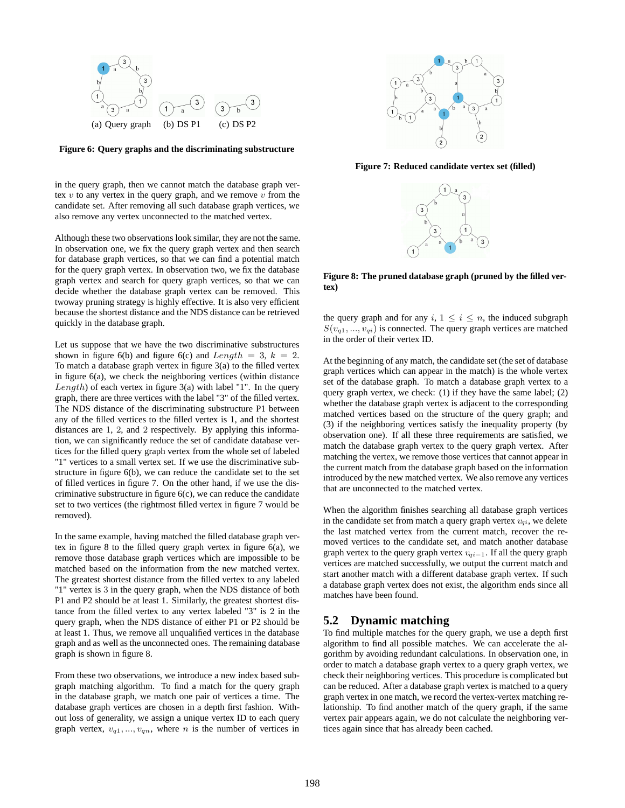

**Figure 6: Query graphs and the discriminating substructure**

in the query graph, then we cannot match the database graph vertex  $v$  to any vertex in the query graph, and we remove  $v$  from the candidate set. After removing all such database graph vertices, we also remove any vertex unconnected to the matched vertex.

Although these two observations look similar, they are not the same. In observation one, we fix the query graph vertex and then search for database graph vertices, so that we can find a potential match for the query graph vertex. In observation two, we fix the database graph vertex and search for query graph vertices, so that we can decide whether the database graph vertex can be removed. This twoway pruning strategy is highly effective. It is also very efficient because the shortest distance and the NDS distance can be retrieved quickly in the database graph.

Let us suppose that we have the two discriminative substructures shown in figure 6(b) and figure 6(c) and Length = 3,  $k = 2$ . To match a database graph vertex in figure  $3(a)$  to the filled vertex in figure 6(a), we check the neighboring vertices (within distance Length) of each vertex in figure  $3(a)$  with label "1". In the query graph, there are three vertices with the label "3" of the filled vertex. The NDS distance of the discriminating substructure P1 between any of the filled vertices to the filled vertex is 1, and the shortest distances are 1, 2, and 2 respectively. By applying this information, we can significantly reduce the set of candidate database vertices for the filled query graph vertex from the whole set of labeled "1" vertices to a small vertex set. If we use the discriminative substructure in figure 6(b), we can reduce the candidate set to the set of filled vertices in figure 7. On the other hand, if we use the discriminative substructure in figure 6(c), we can reduce the candidate set to two vertices (the rightmost filled vertex in figure 7 would be removed).

In the same example, having matched the filled database graph vertex in figure 8 to the filled query graph vertex in figure 6(a), we remove those database graph vertices which are impossible to be matched based on the information from the new matched vertex. The greatest shortest distance from the filled vertex to any labeled "1" vertex is 3 in the query graph, when the NDS distance of both P1 and P2 should be at least 1. Similarly, the greatest shortest distance from the filled vertex to any vertex labeled "3" is 2 in the query graph, when the NDS distance of either P1 or P2 should be at least 1. Thus, we remove all unqualified vertices in the database graph and as well as the unconnected ones. The remaining database graph is shown in figure 8.

From these two observations, we introduce a new index based subgraph matching algorithm. To find a match for the query graph in the database graph, we match one pair of vertices a time. The database graph vertices are chosen in a depth first fashion. Without loss of generality, we assign a unique vertex ID to each query graph vertex,  $v_{q1},..., v_{qn}$ , where *n* is the number of vertices in



**Figure 7: Reduced candidate vertex set (filled)**

![](_page_6_Figure_9.jpeg)

**Figure 8: The pruned database graph (pruned by the filled vertex)**

the query graph and for any i,  $1 \leq i \leq n$ , the induced subgraph  $S(v_{q1},..., v_{qi})$  is connected. The query graph vertices are matched in the order of their vertex ID.

At the beginning of any match, the candidate set (the set of database graph vertices which can appear in the match) is the whole vertex set of the database graph. To match a database graph vertex to a query graph vertex, we check: (1) if they have the same label; (2) whether the database graph vertex is adjacent to the corresponding matched vertices based on the structure of the query graph; and (3) if the neighboring vertices satisfy the inequality property (by observation one). If all these three requirements are satisfied, we match the database graph vertex to the query graph vertex. After matching the vertex, we remove those vertices that cannot appear in the current match from the database graph based on the information introduced by the new matched vertex. We also remove any vertices that are unconnected to the matched vertex.

When the algorithm finishes searching all database graph vertices in the candidate set from match a query graph vertex  $v_{qi}$ , we delete the last matched vertex from the current match, recover the removed vertices to the candidate set, and match another database graph vertex to the query graph vertex <sup>v</sup>*qi*−<sup>1</sup>. If all the query graph vertices are matched successfully, we output the current match and start another match with a different database graph vertex. If such a database graph vertex does not exist, the algorithm ends since all matches have been found.

# **5.2 Dynamic matching**

To find multiple matches for the query graph, we use a depth first algorithm to find all possible matches. We can accelerate the algorithm by avoiding redundant calculations. In observation one, in order to match a database graph vertex to a query graph vertex, we check their neighboring vertices. This procedure is complicated but can be reduced. After a database graph vertex is matched to a query graph vertex in one match, we record the vertex-vertex matching relationship. To find another match of the query graph, if the same vertex pair appears again, we do not calculate the neighboring vertices again since that has already been cached.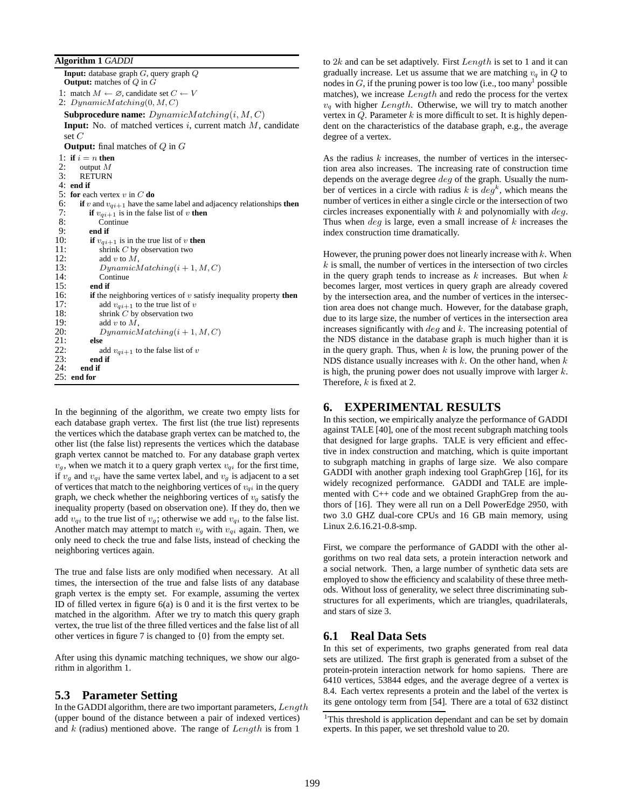#### **Algorithm 1** *GADDI*

**Input:** database graph *G*, query graph *Q* **Output:** matches of *Q* in *G* 1: match  $M \leftarrow \emptyset$ , candidate set  $C \leftarrow V$ 2: *DynamicMatching*(0*,M,C*) **Subprocedure name:** DynamicMatching(i, M, C) **Input:** No. of matched vertices i, current match M, candidate set C **Output:** final matches of Q in G 1: **if**  $i = n$  **then**<br>2: output *M* 2: output *M*<br>3: RETURN **RETURN** 4: **end if** 5: **for** each vertex *v* in *C* **do**<br>6: **if** *v* and  $v_{oi+1}$  have the 6: **if** *v* and  $v_{qi+1}$  have the same label and adjacency relationships **then**<br>7: **if**  $v_{qi+1}$  is in the false list of *v* **then** 7: **if**  $v_{qi+1}$  is in the false list of *v* **then**<br>8: Continue 8: Continue<br>9: **end if** 9: **end if** 10: **if**  $v_{ai}$ . 10: **if**  $v_{qi+1}$  is in the true list of *v* **then**<br>11: shrink *C* by observation two 11: shrink *C* by observation two<br>12: add v to  $M$ , 12: add *v* to *M*,<br>13: Dunamic 13: *DynamicMatching*(*i* + 1*,M,C*) 14: Continue<br>15: **end if** 15: **end if** 16: **if** the neighboring vertices of *v* satisfy inequality property **then** 17: add  $v_{\text{e}i+1}$  to the true list of *v* 17: add  $v_{qi+1}$  to the true list of *v*<br>18: shrink *C* by observation two 18: shrink *C* by observation two<br>19: add *v* to *M*. 19: add *v* to  $\dot{M}$ ,<br>20: Dynamic 20: *DynamicMatching* $(i + 1, M, C)$ <br>
21: else 21: **else** 22: add  $v_{qi+1}$  to the false list of *v*<br>23: **end if** 23: **end if** end if 25: **end for**

In the beginning of the algorithm, we create two empty lists for each database graph vertex. The first list (the true list) represents the vertices which the database graph vertex can be matched to, the other list (the false list) represents the vertices which the database graph vertex cannot be matched to. For any database graph vertex  $v_q$ , when we match it to a query graph vertex  $v_{qi}$  for the first time, if  $v_q$  and  $v_{qi}$  have the same vertex label, and  $v_q$  is adjacent to a set of vertices that match to the neighboring vertices of  $v_{qi}$  in the query graph, we check whether the neighboring vertices of  $v<sub>g</sub>$  satisfy the inequality property (based on observation one). If they do, then we add  $v_{qi}$  to the true list of  $v_g$ ; otherwise we add  $v_{qi}$  to the false list. Another match may attempt to match  $v_g$  with  $v_{qi}$  again. Then, we only need to check the true and false lists, instead of checking the neighboring vertices again.

The true and false lists are only modified when necessary. At all times, the intersection of the true and false lists of any database graph vertex is the empty set. For example, assuming the vertex ID of filled vertex in figure 6(a) is 0 and it is the first vertex to be matched in the algorithm. After we try to match this query graph vertex, the true list of the three filled vertices and the false list of all other vertices in figure 7 is changed to {0} from the empty set.

After using this dynamic matching techniques, we show our algorithm in algorithm 1.

# **5.3 Parameter Setting**

In the GADDI algorithm, there are two important parameters, Length (upper bound of the distance between a pair of indexed vertices) and  $k$  (radius) mentioned above. The range of  $Length$  is from 1

to  $2k$  and can be set adaptively. First  $Length$  is set to 1 and it can gradually increase. Let us assume that we are matching  $v_q$  in  $Q$  to nodes in  $G$ , if the pruning power is too low (i.e., too many<sup>1</sup> possible matches), we increase  $Length$  and redo the process for the vertex  $v_q$  with higher Length. Otherwise, we will try to match another vertex in  $Q$ . Parameter k is more difficult to set. It is highly dependent on the characteristics of the database graph, e.g., the average degree of a vertex.

As the radius  $k$  increases, the number of vertices in the intersection area also increases. The increasing rate of construction time depends on the average degree deg of the graph. Usually the number of vertices in a circle with radius k is  $deg<sup>k</sup>$ , which means the number of vertices in either a single circle or the intersection of two circles increases exponentially with  $k$  and polynomially with  $deg$ . Thus when  $deg$  is large, even a small increase of  $k$  increases the index construction time dramatically.

However, the pruning power does not linearly increase with  $k$ . When  $k$  is small, the number of vertices in the intersection of two circles in the query graph tends to increase as  $k$  increases. But when  $k$ becomes larger, most vertices in query graph are already covered by the intersection area, and the number of vertices in the intersection area does not change much. However, for the database graph, due to its large size, the number of vertices in the intersection area increases significantly with  $\deg$  and k. The increasing potential of the NDS distance in the database graph is much higher than it is in the query graph. Thus, when  $k$  is low, the pruning power of the NDS distance usually increases with  $k$ . On the other hand, when  $k$ is high, the pruning power does not usually improve with larger  $k$ . Therefore,  $k$  is fixed at 2.

# **6. EXPERIMENTAL RESULTS**

In this section, we empirically analyze the performance of GADDI against TALE [40], one of the most recent subgraph matching tools that designed for large graphs. TALE is very efficient and effective in index construction and matching, which is quite important to subgraph matching in graphs of large size. We also compare GADDI with another graph indexing tool GraphGrep [16], for its widely recognized performance. GADDI and TALE are implemented with C++ code and we obtained GraphGrep from the authors of [16]. They were all run on a Dell PowerEdge 2950, with two 3.0 GHZ dual-core CPUs and 16 GB main memory, using Linux 2.6.16.21-0.8-smp.

First, we compare the performance of GADDI with the other algorithms on two real data sets, a protein interaction network and a social network. Then, a large number of synthetic data sets are employed to show the efficiency and scalability of these three methods. Without loss of generality, we select three discriminating substructures for all experiments, which are triangles, quadrilaterals, and stars of size 3.

# **6.1 Real Data Sets**

In this set of experiments, two graphs generated from real data sets are utilized. The first graph is generated from a subset of the protein-protein interaction network for homo sapiens. There are 6410 vertices, 53844 edges, and the average degree of a vertex is 8.4. Each vertex represents a protein and the label of the vertex is its gene ontology term from [54]. There are a total of 632 distinct

<sup>&</sup>lt;sup>1</sup>This threshold is application dependant and can be set by domain experts. In this paper, we set threshold value to 20.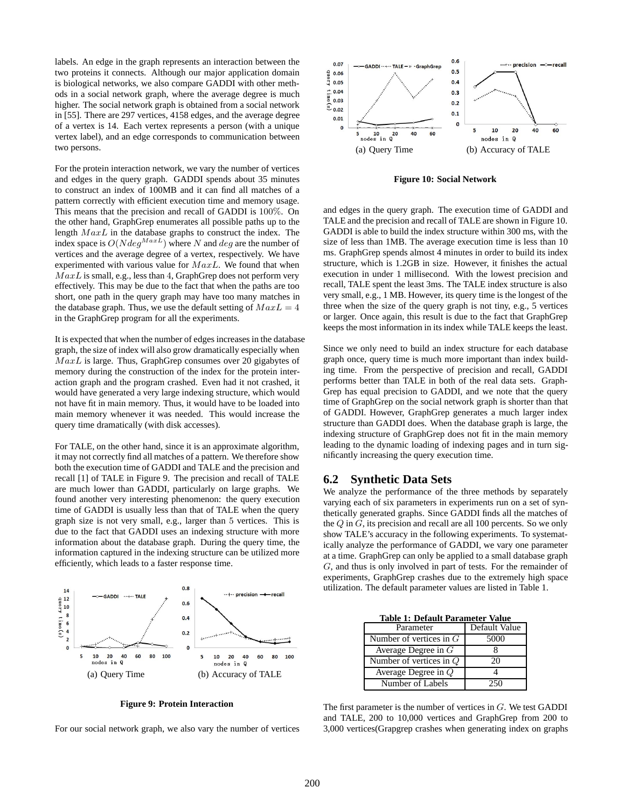labels. An edge in the graph represents an interaction between the two proteins it connects. Although our major application domain is biological networks, we also compare GADDI with other methods in a social network graph, where the average degree is much higher. The social network graph is obtained from a social network in [55]. There are 297 vertices, 4158 edges, and the average degree of a vertex is 14. Each vertex represents a person (with a unique vertex label), and an edge corresponds to communication between two persons.

For the protein interaction network, we vary the number of vertices and edges in the query graph. GADDI spends about 35 minutes to construct an index of 100MB and it can find all matches of a pattern correctly with efficient execution time and memory usage. This means that the precision and recall of GADDI is 100%. On the other hand, GraphGrep enumerates all possible paths up to the length MaxL in the database graphs to construct the index. The index space is  $O(Ndeg^{MaxL})$  where N and deg are the number of vertices and the average degree of a vertex, respectively. We have experimented with various value for  $MaxL$ . We found that when  $MaxL$  is small, e.g., less than 4, GraphGrep does not perform very effectively. This may be due to the fact that when the paths are too short, one path in the query graph may have too many matches in the database graph. Thus, we use the default setting of  $MaxL = 4$ in the GraphGrep program for all the experiments.

It is expected that when the number of edges increases in the database graph, the size of index will also grow dramatically especially when  $MaxL$  is large. Thus, GraphGrep consumes over 20 gigabytes of memory during the construction of the index for the protein interaction graph and the program crashed. Even had it not crashed, it would have generated a very large indexing structure, which would not have fit in main memory. Thus, it would have to be loaded into main memory whenever it was needed. This would increase the query time dramatically (with disk accesses).

For TALE, on the other hand, since it is an approximate algorithm, it may not correctly find all matches of a pattern. We therefore show both the execution time of GADDI and TALE and the precision and recall [1] of TALE in Figure 9. The precision and recall of TALE are much lower than GADDI, particularly on large graphs. We found another very interesting phenomenon: the query execution time of GADDI is usually less than that of TALE when the query graph size is not very small, e.g., larger than 5 vertices. This is due to the fact that GADDI uses an indexing structure with more information about the database graph. During the query time, the information captured in the indexing structure can be utilized more efficiently, which leads to a faster response time.

![](_page_8_Figure_4.jpeg)

**Figure 9: Protein Interaction**

For our social network graph, we also vary the number of vertices

![](_page_8_Figure_7.jpeg)

**Figure 10: Social Network**

and edges in the query graph. The execution time of GADDI and TALE and the precision and recall of TALE are shown in Figure 10. GADDI is able to build the index structure within 300 ms, with the size of less than 1MB. The average execution time is less than 10 ms. GraphGrep spends almost 4 minutes in order to build its index structure, which is 1.2GB in size. However, it finishes the actual execution in under 1 millisecond. With the lowest precision and recall, TALE spent the least 3ms. The TALE index structure is also very small, e.g., 1 MB. However, its query time is the longest of the three when the size of the query graph is not tiny, e.g., 5 vertices or larger. Once again, this result is due to the fact that GraphGrep keeps the most information in its index while TALE keeps the least.

Since we only need to build an index structure for each database graph once, query time is much more important than index building time. From the perspective of precision and recall, GADDI performs better than TALE in both of the real data sets. Graph-Grep has equal precision to GADDI, and we note that the query time of GraphGrep on the social network graph is shorter than that of GADDI. However, GraphGrep generates a much larger index structure than GADDI does. When the database graph is large, the indexing structure of GraphGrep does not fit in the main memory leading to the dynamic loading of indexing pages and in turn significantly increasing the query execution time.

## **6.2 Synthetic Data Sets**

We analyze the performance of the three methods by separately varying each of six parameters in experiments run on a set of synthetically generated graphs. Since GADDI finds all the matches of the  $Q$  in  $G$ , its precision and recall are all 100 percents. So we only show TALE's accuracy in the following experiments. To systematically analyze the performance of GADDI, we vary one parameter at a time. GraphGrep can only be applied to a small database graph G, and thus is only involved in part of tests. For the remainder of experiments, GraphGrep crashes due to the extremely high space utilization. The default parameter values are listed in Table 1.

| <b>Table 1: Default Parameter Value</b> |               |
|-----------------------------------------|---------------|
| Parameter                               | Default Value |
| Number of vertices in $G$               | 5000          |
| Average Degree in $G$                   |               |
| Number of vertices in $Q$               | 20            |
| Average Degree in $Q$                   |               |
| Number of Labels                        | 250           |

The first parameter is the number of vertices in G. We test GADDI and TALE, 200 to 10,000 vertices and GraphGrep from 200 to 3,000 vertices(Grapgrep crashes when generating index on graphs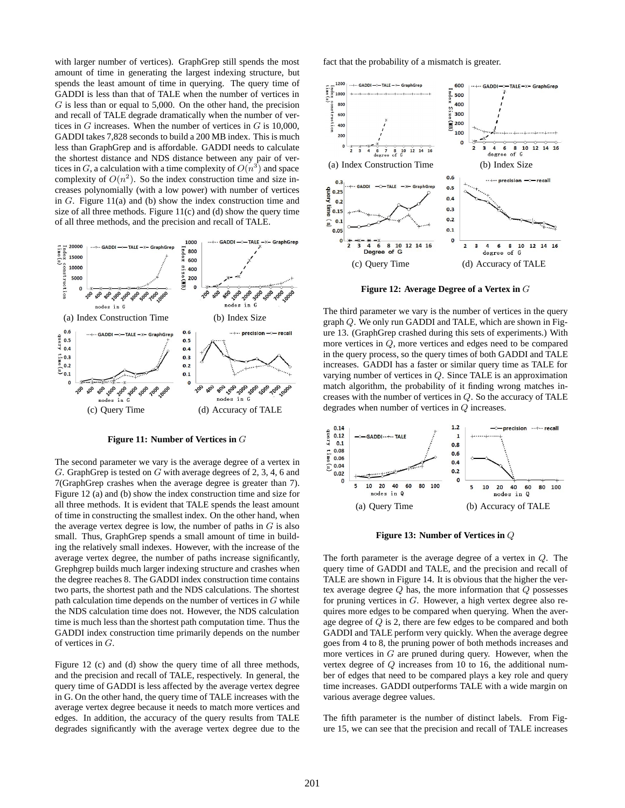with larger number of vertices). GraphGrep still spends the most amount of time in generating the largest indexing structure, but spends the least amount of time in querying. The query time of GADDI is less than that of TALE when the number of vertices in  $G$  is less than or equal to 5,000. On the other hand, the precision and recall of TALE degrade dramatically when the number of vertices in  $G$  increases. When the number of vertices in  $G$  is 10,000, GADDI takes 7,828 seconds to build a 200 MB index. This is much less than GraphGrep and is affordable. GADDI needs to calculate the shortest distance and NDS distance between any pair of vertices in G, a calculation with a time complexity of  $O(n^3)$  and space complexity of  $O(n^2)$ . So the index construction time and size increases polynomially (with a low power) with number of vertices in G. Figure 11(a) and (b) show the index construction time and size of all three methods. Figure 11(c) and (d) show the query time of all three methods, and the precision and recall of TALE.

![](_page_9_Figure_1.jpeg)

**Figure 11: Number of Vertices in** G

The second parameter we vary is the average degree of a vertex in G. GraphGrep is tested on G with average degrees of 2, 3, 4, 6 and 7(GraphGrep crashes when the average degree is greater than 7). Figure 12 (a) and (b) show the index construction time and size for all three methods. It is evident that TALE spends the least amount of time in constructing the smallest index. On the other hand, when the average vertex degree is low, the number of paths in  $G$  is also small. Thus, GraphGrep spends a small amount of time in building the relatively small indexes. However, with the increase of the average vertex degree, the number of paths increase significantly, Grephgrep builds much larger indexing structure and crashes when the degree reaches 8. The GADDI index construction time contains two parts, the shortest path and the NDS calculations. The shortest path calculation time depends on the number of vertices in  $G$  while the NDS calculation time does not. However, the NDS calculation time is much less than the shortest path computation time. Thus the GADDI index construction time primarily depends on the number of vertices in G.

Figure 12 (c) and (d) show the query time of all three methods, and the precision and recall of TALE, respectively. In general, the query time of GADDI is less affected by the average vertex degree in G. On the other hand, the query time of TALE increases with the average vertex degree because it needs to match more vertices and edges. In addition, the accuracy of the query results from TALE degrades significantly with the average vertex degree due to the fact that the probability of a mismatch is greater.

![](_page_9_Figure_6.jpeg)

**Figure 12: Average Degree of a Vertex in** G

The third parameter we vary is the number of vertices in the query graph Q. We only run GADDI and TALE, which are shown in Figure 13. (GraphGrep crashed during this sets of experiments.) With more vertices in Q, more vertices and edges need to be compared in the query process, so the query times of both GADDI and TALE increases. GADDI has a faster or similar query time as TALE for varying number of vertices in Q. Since TALE is an approximation match algorithm, the probability of it finding wrong matches increases with the number of vertices in Q. So the accuracy of TALE degrades when number of vertices in Q increases.

![](_page_9_Figure_9.jpeg)

**Figure 13: Number of Vertices in** Q

The forth parameter is the average degree of a vertex in Q. The query time of GADDI and TALE, and the precision and recall of TALE are shown in Figure 14. It is obvious that the higher the vertex average degree  $Q$  has, the more information that  $Q$  possesses for pruning vertices in G. However, a high vertex degree also requires more edges to be compared when querying. When the average degree of Q is 2, there are few edges to be compared and both GADDI and TALE perform very quickly. When the average degree goes from 4 to 8, the pruning power of both methods increases and more vertices in  $G$  are pruned during query. However, when the vertex degree of Q increases from 10 to 16, the additional number of edges that need to be compared plays a key role and query time increases. GADDI outperforms TALE with a wide margin on various average degree values.

The fifth parameter is the number of distinct labels. From Figure 15, we can see that the precision and recall of TALE increases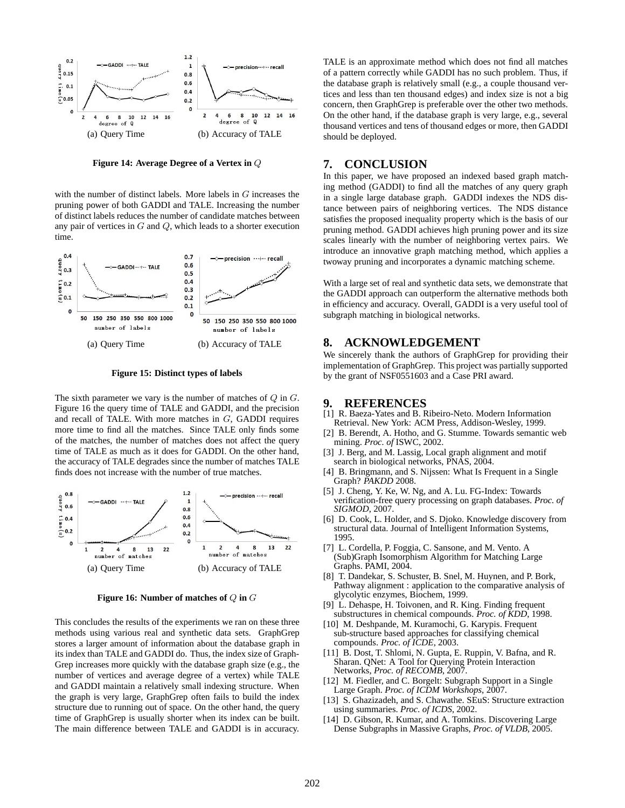![](_page_10_Figure_0.jpeg)

**Figure 14: Average Degree of a Vertex in** Q

with the number of distinct labels. More labels in G increases the pruning power of both GADDI and TALE. Increasing the number of distinct labels reduces the number of candidate matches between any pair of vertices in  $G$  and  $Q$ , which leads to a shorter execution time.

![](_page_10_Figure_3.jpeg)

**Figure 15: Distinct types of labels**

The sixth parameter we vary is the number of matches of  $Q$  in  $G$ . Figure 16 the query time of TALE and GADDI, and the precision and recall of TALE. With more matches in  $G$ , GADDI requires more time to find all the matches. Since TALE only finds some of the matches, the number of matches does not affect the query time of TALE as much as it does for GADDI. On the other hand, the accuracy of TALE degrades since the number of matches TALE finds does not increase with the number of true matches.

![](_page_10_Figure_6.jpeg)

**Figure 16: Number of matches of** Q **in** G

This concludes the results of the experiments we ran on these three methods using various real and synthetic data sets. GraphGrep stores a larger amount of information about the database graph in its index than TALE and GADDI do. Thus, the index size of Graph-Grep increases more quickly with the database graph size (e.g., the number of vertices and average degree of a vertex) while TALE and GADDI maintain a relatively small indexing structure. When the graph is very large, GraphGrep often fails to build the index structure due to running out of space. On the other hand, the query time of GraphGrep is usually shorter when its index can be built. The main difference between TALE and GADDI is in accuracy. TALE is an approximate method which does not find all matches of a pattern correctly while GADDI has no such problem. Thus, if the database graph is relatively small (e.g., a couple thousand vertices and less than ten thousand edges) and index size is not a big concern, then GraphGrep is preferable over the other two methods. On the other hand, if the database graph is very large, e.g., several thousand vertices and tens of thousand edges or more, then GADDI should be deployed.

## **7. CONCLUSION**

In this paper, we have proposed an indexed based graph matching method (GADDI) to find all the matches of any query graph in a single large database graph. GADDI indexes the NDS distance between pairs of neighboring vertices. The NDS distance satisfies the proposed inequality property which is the basis of our pruning method. GADDI achieves high pruning power and its size scales linearly with the number of neighboring vertex pairs. We introduce an innovative graph matching method, which applies a twoway pruning and incorporates a dynamic matching scheme.

With a large set of real and synthetic data sets, we demonstrate that the GADDI approach can outperform the alternative methods both in efficiency and accuracy. Overall, GADDI is a very useful tool of subgraph matching in biological networks.

# **8. ACKNOWLEDGEMENT**

We sincerely thank the authors of GraphGrep for providing their implementation of GraphGrep. This project was partially supported by the grant of NSF0551603 and a Case PRI award.

#### **9. REFERENCES**

- [1] R. Baeza-Yates and B. Ribeiro-Neto. Modern Information Retrieval. New York: ACM Press, Addison-Wesley, 1999.
- [2] B. Berendt, A. Hotho, and G. Stumme. Towards semantic web mining. *Proc. of* ISWC, 2002.
- [3] J. Berg, and M. Lassig, Local graph alignment and motif search in biological networks, PNAS, 2004.
- [4] B. Bringmann, and S. Nijssen: What Is Frequent in a Single Graph? *PAKDD* 2008.
- [5] J. Cheng, Y. Ke, W. Ng, and A. Lu. FG-Index: Towards verification-free query processing on graph databases. *Proc. of SIGMOD*, 2007.
- [6] D. Cook, L. Holder, and S. Djoko. Knowledge discovery from structural data. Journal of Intelligent Information Systems, 1995.
- [7] L. Cordella, P. Foggia, C. Sansone, and M. Vento. A (Sub)Graph Isomorphism Algorithm for Matching Large Graphs. PAMI, 2004.
- [8] T. Dandekar, S. Schuster, B. Snel, M. Huynen, and P. Bork, Pathway alignment : application to the comparative analysis of glycolytic enzymes, Biochem, 1999.
- [9] L. Dehaspe, H. Toivonen, and R. King. Finding frequent substructures in chemical compounds. *Proc. of KDD*, 1998.
- [10] M. Deshpande, M. Kuramochi, G. Karypis. Frequent sub-structure based approaches for classifying chemical compounds. *Proc. of ICDE*, 2003.
- [11] B. Dost, T. Shlomi, N. Gupta, E. Ruppin, V. Bafna, and R. Sharan. QNet: A Tool for Querying Protein Interaction Networks, *Proc. of RECOMB*, 2007.
- [12] M. Fiedler, and C. Borgelt: Subgraph Support in a Single Large Graph. *Proc. of ICDM Workshops*, 2007.
- [13] S. Ghazizadeh, and S. Chawathe. SEuS: Structure extraction using summaries. *Proc. of ICDS*, 2002.
- [14] D. Gibson, R. Kumar, and A. Tomkins. Discovering Large Dense Subgraphs in Massive Graphs, *Proc. of VLDB,* 2005.